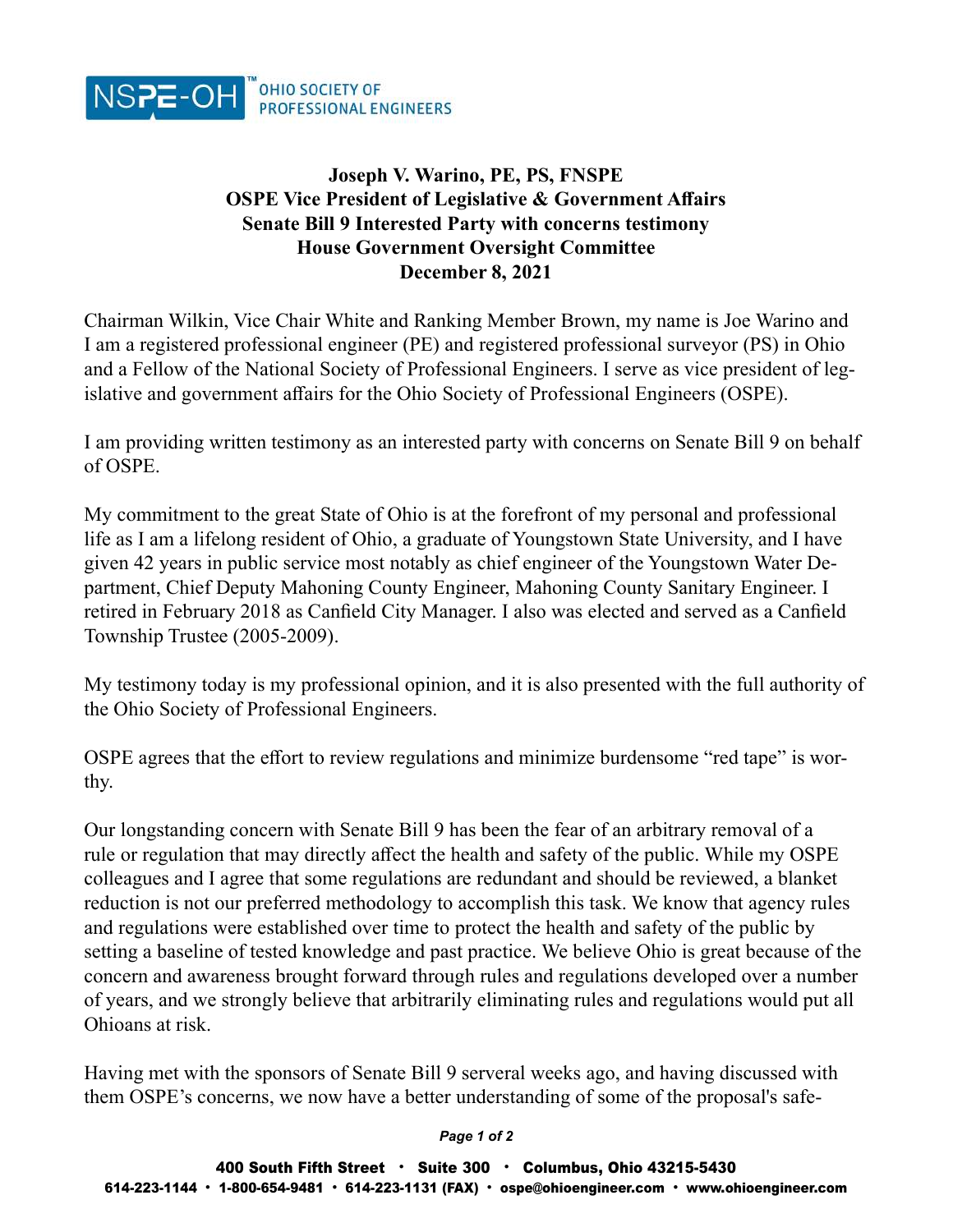

## Joseph V. Warino, PE, PS, FNSPE OSPE Vice President of Legislative & Government Affairs Senate Bill 9 Interested Party with concerns testimony House Government Oversight Committee December 8, 2021

Chairman Wilkin, Vice Chair White and Ranking Member Brown, my name is Joe Warino and I am a registered professional engineer (PE) and registered professional surveyor (PS) in Ohio and a Fellow of the National Society of Professional Engineers. I serve as vice president of legislative and government affairs for the Ohio Society of Professional Engineers (OSPE).

I am providing written testimony as an interested party with concerns on Senate Bill 9 on behalf of OSPE.

My commitment to the great State of Ohio is at the forefront of my personal and professional life as I am a lifelong resident of Ohio, a graduate of Youngstown State University, and I have given 42 years in public service most notably as chief engineer of the Youngstown Water Department, Chief Deputy Mahoning County Engineer, Mahoning County Sanitary Engineer. I retired in February 2018 as Canfield City Manager. I also was elected and served as a Canfield Township Trustee (2005-2009).

My testimony today is my professional opinion, and it is also presented with the full authority of the Ohio Society of Professional Engineers.

OSPE agrees that the effort to review regulations and minimize burdensome "red tape" is worthy.

Our longstanding concern with Senate Bill 9 has been the fear of an arbitrary removal of a rule or regulation that may directly affect the health and safety of the public. While my OSPE colleagues and I agree that some regulations are redundant and should be reviewed, a blanket reduction is not our preferred methodology to accomplish this task. We know that agency rules and regulations were established over time to protect the health and safety of the public by setting a baseline of tested knowledge and past practice. We believe Ohio is great because of the concern and awareness brought forward through rules and regulations developed over a number of years, and we strongly believe that arbitrarily eliminating rules and regulations would put all Ohioans at risk.

Having met with the sponsors of Senate Bill 9 serveral weeks ago, and having discussed with them OSPE's concerns, we now have a better understanding of some of the proposal's safe-

## Page 1 of 2